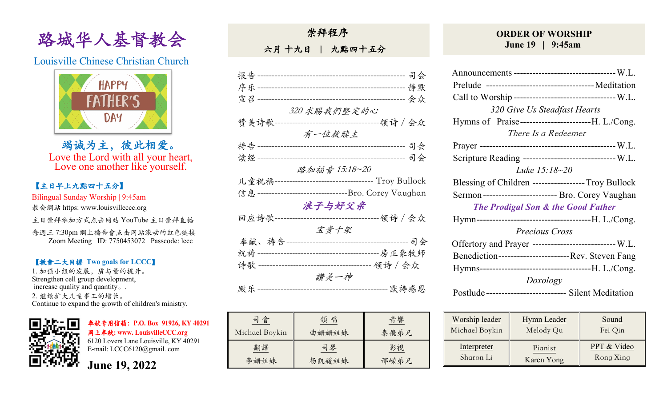路城华⼈基督教会

# Louisville Chinese Christian Church



竭诚为主,彼此相爱。 Love the Lord with all your heart, Love one another like yourself.

## 【主日早上九點四⼗五分】

Bilingual Sunday Worship | 9:45am 教会網站 https: www.louisvilleccc.org 主日崇拜參加方式点击网站 YouTube 主日崇拜直播 每週三 7:30pm 網上禱告會点击网站滚动的红色链接 Zoom Meeting ID: 7750453072 Passcode: lccc

## 【教會⼆⼤目標 **Two goals for LCCC**】

1. 加强小组的发展, 盾与量的提升。 Strengthen cell group development, increase quality and quantity。. 2. 继续扩⼤⼉童事⼯的增长。 Continue to expand the growth of children's ministry.



奉献专用信箱:**P.O. Box 91926, KY 40291**  ⽹上奉献**: www. LouisvilleCCC.org** 6120 Lovers Lane Louisville, KY 40291 E-mail: LCCC6120@gmail. com

**June 19, 2022**

崇拜程序

六月 十九日 | 九點四十五分

|                      | 司会                                     |
|----------------------|----------------------------------------|
|                      |                                        |
|                      |                                        |
|                      |                                        |
| 320 求賜我們堅定的心         |                                        |
| 赞美诗歌-                |                                        |
| 有一位救赎主               |                                        |
| 祷告------------------ | ------------------------- 司会           |
|                      |                                        |
| 读经------------       | ----------------------------------- 司会 |
| 路加福音 15:18~20        |                                        |
| 儿童祝福一                | ------------------- Troy Bullock       |
|                      |                                        |
|                      |                                        |
| 浪子与好父亲               |                                        |
| 回应诗歌-                | ------领诗 / 会众                          |
|                      |                                        |
| 宝贵十架                 |                                        |
| 奉献、祷告                | --------------------- 司会               |
|                      |                                        |
|                      |                                        |
|                      |                                        |
| 讚美一神                 |                                        |
| 殿乐                   |                                        |
|                      |                                        |

| 會<br>티<br>Michael Boykin | 領唱<br>曲姗姗姐妹 | 音響<br>秦飛弟兄 |
|--------------------------|-------------|------------|
| 翻譯                       | 司琴          | 影視         |
| 李姗姐妹                     | 杨凯媛姐妹       | 邢嵘弟兄       |

## **ORDER OF WORSHIP June 19 | 9:45am**

| Announcements --------------------------------- W.L.    |                              |  |  |  |
|---------------------------------------------------------|------------------------------|--|--|--|
|                                                         |                              |  |  |  |
| Call to Worship ---------------------------------- W.L. |                              |  |  |  |
|                                                         | 320 Give Us Steadfast Hearts |  |  |  |
| Hymns of Praise--------------------------H. L./Cong.    |                              |  |  |  |
|                                                         | There Is a Redeemer          |  |  |  |
|                                                         |                              |  |  |  |
| Scripture Reading ------------------------------- W.L.  |                              |  |  |  |
| Luke $15:18 - 20$                                       |                              |  |  |  |
| Blessing of Children ----------------- Troy Bullock     |                              |  |  |  |
| Sermon------------------------ Bro. Corey Vaughan       |                              |  |  |  |
| <b>The Prodigal Son &amp; the Good Father</b>           |                              |  |  |  |
|                                                         |                              |  |  |  |
| <i>Precious Cross</i>                                   |                              |  |  |  |
| Offertory and Prayer ---------------------------- W.L.  |                              |  |  |  |
| Benediction-------------------------Rev. Steven Fang    |                              |  |  |  |
|                                                         |                              |  |  |  |
| Doxology                                                |                              |  |  |  |
| Postlude -------------------------- Silent Meditation   |                              |  |  |  |

| Worship leader | <b>Hymn</b> Leader | Sound       |
|----------------|--------------------|-------------|
| Michael Boykin | Melody Qu          | Fei Qin     |
| Interpreter    | Pianist            | PPT & Video |
| Sharon Li      | Karen Yong         | Rong Xing   |